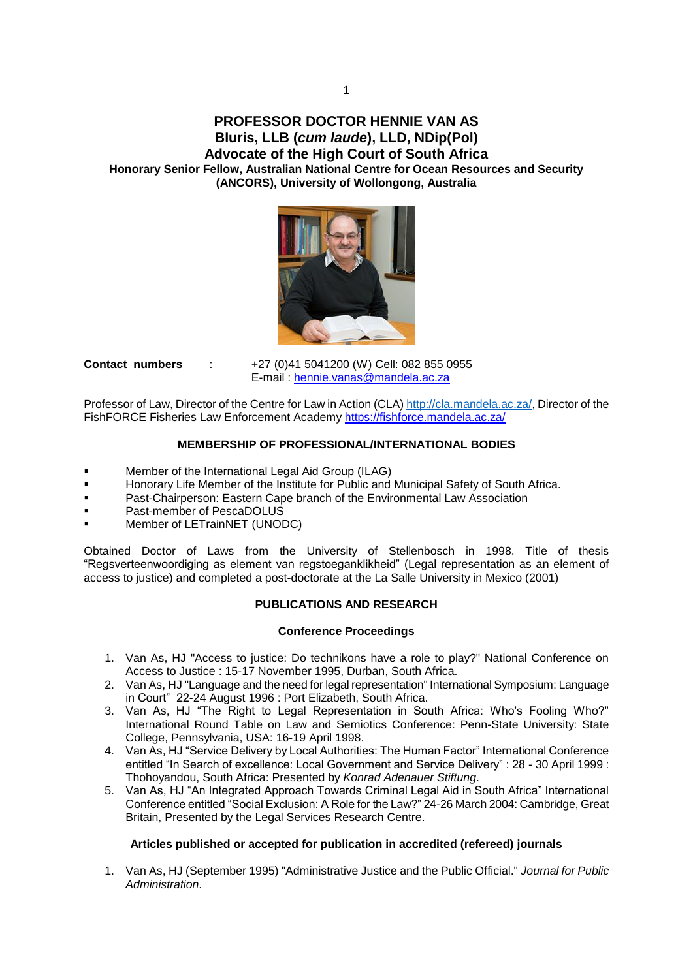# **PROFESSOR DOCTOR HENNIE VAN AS BIuris, LLB (***cum laude***), LLD, NDip(Pol) Advocate of the High Court of South Africa Honorary Senior Fellow, Australian National Centre for Ocean Resources and Security (ANCORS), University of Wollongong, Australia**



**Contact numbers** : +27 (0)41 5041200 (W) Cell: 082 855 0955 E-mail : [hennie.vanas@mandela.ac.za](mailto:hennie.vanas@mandela.ac.za)

Professor of Law, Director of the Centre for Law in Action (CLA) [http://cla.mandela.ac.za/,](http://cla.mandela.ac.za/) Director of the FishFORCE Fisheries Law Enforcement Academy<https://fishforce.mandela.ac.za/>

# **MEMBERSHIP OF PROFESSIONAL/INTERNATIONAL BODIES**

- Member of the International Legal Aid Group (ILAG)
- Honorary Life Member of the Institute for Public and Municipal Safety of South Africa.
- Past-Chairperson: Eastern Cape branch of the Environmental Law Association
- Past-member of PescaDOLUS
- Member of LETrainNET (UNODC)

Obtained Doctor of Laws from the University of Stellenbosch in 1998. Title of thesis "Regsverteenwoordiging as element van regstoeganklikheid" (Legal representation as an element of access to justice) and completed a post-doctorate at the La Salle University in Mexico (2001)

# **PUBLICATIONS AND RESEARCH**

#### **Conference Proceedings**

- 1. Van As, HJ "Access to justice: Do technikons have a role to play?" National Conference on Access to Justice : 15-17 November 1995, Durban, South Africa.
- 2. Van As, HJ "Language and the need for legal representation" International Symposium: Language in Court" 22-24 August 1996 : Port Elizabeth, South Africa.
- 3. Van As, HJ "The Right to Legal Representation in South Africa: Who's Fooling Who?" International Round Table on Law and Semiotics Conference: Penn-State University: State College, Pennsylvania, USA: 16-19 April 1998.
- 4. Van As, HJ "Service Delivery by Local Authorities: The Human Factor" International Conference entitled "In Search of excellence: Local Government and Service Delivery" : 28 - 30 April 1999 : Thohoyandou, South Africa: Presented by *Konrad Adenauer Stiftung*.
- 5. Van As, HJ "An Integrated Approach Towards Criminal Legal Aid in South Africa" International Conference entitled "Social Exclusion: A Role for the Law?" 24-26 March 2004: Cambridge, Great Britain, Presented by the Legal Services Research Centre.

# **Articles published or accepted for publication in accredited (refereed) journals**

1. Van As, HJ (September 1995) "Administrative Justice and the Public Official." *Journal for Public Administration*.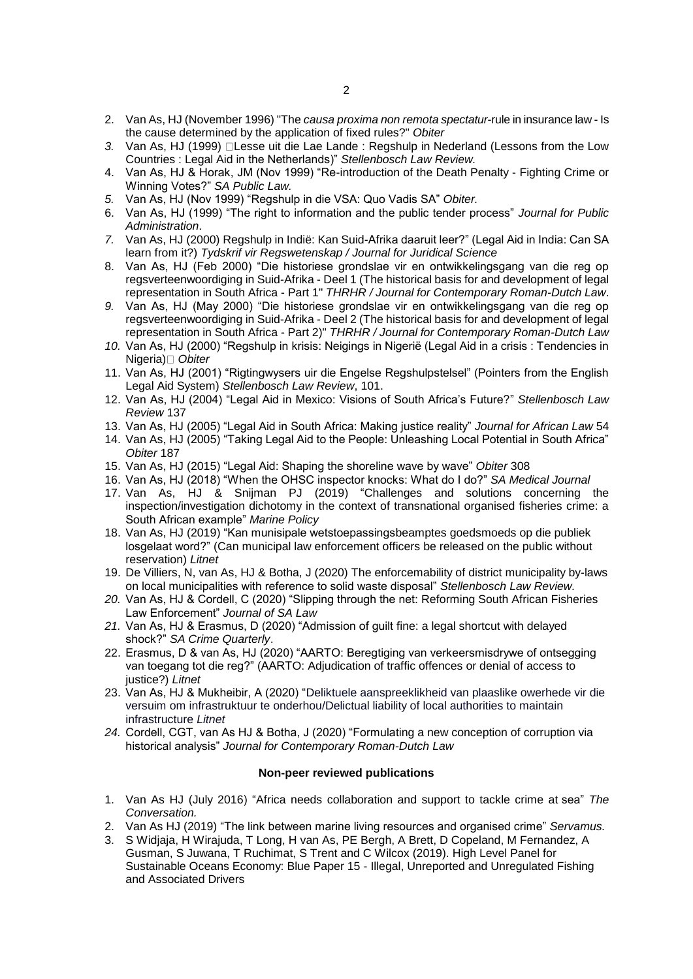- 2. Van As, HJ (November 1996) "The *causa proxima non remota spectatur*-rule in insurance law Is the cause determined by the application of fixed rules?" *Obiter*
- 3. Van As, HJ (1999) Lesse uit die Lae Lande : Regshulp in Nederland (Lessons from the Low Countries : Legal Aid in the Netherlands)" *Stellenbosch Law Review.*
- 4. Van As, HJ & Horak, JM (Nov 1999) "Re-introduction of the Death Penalty Fighting Crime or Winning Votes?" *SA Public Law.*
- *5.* Van As, HJ (Nov 1999) "Regshulp in die VSA: Quo Vadis SA" *Obiter.*
- 6. Van As, HJ (1999) "The right to information and the public tender process" *Journal for Public Administration*.
- *7.* Van As, HJ (2000) Regshulp in Indië: Kan Suid-Afrika daaruit leer?" (Legal Aid in India: Can SA learn from it?) *Tydskrif vir Regswetenskap / Journal for Juridical Science*
- 8. Van As, HJ (Feb 2000) "Die historiese grondslae vir en ontwikkelingsgang van die reg op regsverteenwoordiging in Suid-Afrika - Deel 1 (The historical basis for and development of legal representation in South Africa - Part 1" *THRHR / Journal for Contemporary Roman-Dutch Law*.
- *9.* Van As, HJ (May 2000) "Die historiese grondslae vir en ontwikkelingsgang van die reg op regsverteenwoordiging in Suid-Afrika - Deel 2 (The historical basis for and development of legal representation in South Africa - Part 2)" *THRHR / Journal for Contemporary Roman-Dutch Law*
- *10.* Van As, HJ (2000) "Regshulp in krisis: Neigings in Nigerië (Legal Aid in a crisis : Tendencies in Nigeria) *Obiter*
- 11. Van As, HJ (2001) "Rigtingwysers uir die Engelse Regshulpstelsel" (Pointers from the English Legal Aid System) *Stellenbosch Law Review*, 101.
- 12. Van As, HJ (2004) "Legal Aid in Mexico: Visions of South Africa's Future?" *Stellenbosch Law Review* 137
- 13. Van As, HJ (2005) "Legal Aid in South Africa: Making justice reality" *Journal for African Law* 54
- 14. Van As, HJ (2005) "Taking Legal Aid to the People: Unleashing Local Potential in South Africa" *Obiter* 187
- 15. Van As, HJ (2015) "Legal Aid: Shaping the shoreline wave by wave" *Obiter* 308
- 16. Van As, HJ (2018) "When the OHSC inspector knocks: What do I do?" *SA Medical Journal*
- 17. Van As, HJ & Snijman PJ (2019) "Challenges and solutions concerning the inspection/investigation dichotomy in the context of transnational organised fisheries crime: a South African example" *Marine Policy*
- 18. Van As, HJ (2019) "Kan munisipale wetstoepassingsbeamptes goedsmoeds op die publiek losgelaat word?" (Can municipal law enforcement officers be released on the public without reservation) *Litnet*
- 19. De Villiers, N, van As, HJ & Botha, J (2020) The enforcemability of district municipality by-laws on local municipalities with reference to solid waste disposal" *Stellenbosch Law Review.*
- *20.* Van As, HJ & Cordell, C (2020) "Slipping through the net: Reforming South African Fisheries Law Enforcement" *Journal of SA Law*
- *21.* Van As, HJ & Erasmus, D (2020) "Admission of guilt fine: a legal shortcut with delayed shock?" *SA Crime Quarterly*.
- 22. Erasmus, D & van As, HJ (2020) "AARTO: Beregtiging van verkeersmisdrywe of ontsegging van toegang tot die reg?" (AARTO: Adjudication of traffic offences or denial of access to justice?) *Litnet*
- 23. Van As, HJ & Mukheibir, A (2020) "Deliktuele aanspreeklikheid van plaaslike owerhede vir die versuim om infrastruktuur te onderhou/Delictual liability of local authorities to maintain infrastructure *Litnet*
- *24.* Cordell, CGT, van As HJ & Botha, J (2020) "Formulating a new conception of corruption via historical analysis" *Journal for Contemporary Roman-Dutch Law*

#### **Non-peer reviewed publications**

- 1. Van As HJ (July 2016) "Africa needs collaboration and support to tackle crime at sea" *The Conversation.*
- 2. Van As HJ (2019) "The link between marine living resources and organised crime" *Servamus.*
- 3. S Widjaja, H Wirajuda, T Long, H van As, PE Bergh, A Brett, D Copeland, M Fernandez, A Gusman, S Juwana, T Ruchimat, S Trent and C Wilcox (2019). High Level Panel for Sustainable Oceans Economy: Blue Paper 15 - Illegal, Unreported and Unregulated Fishing and Associated Drivers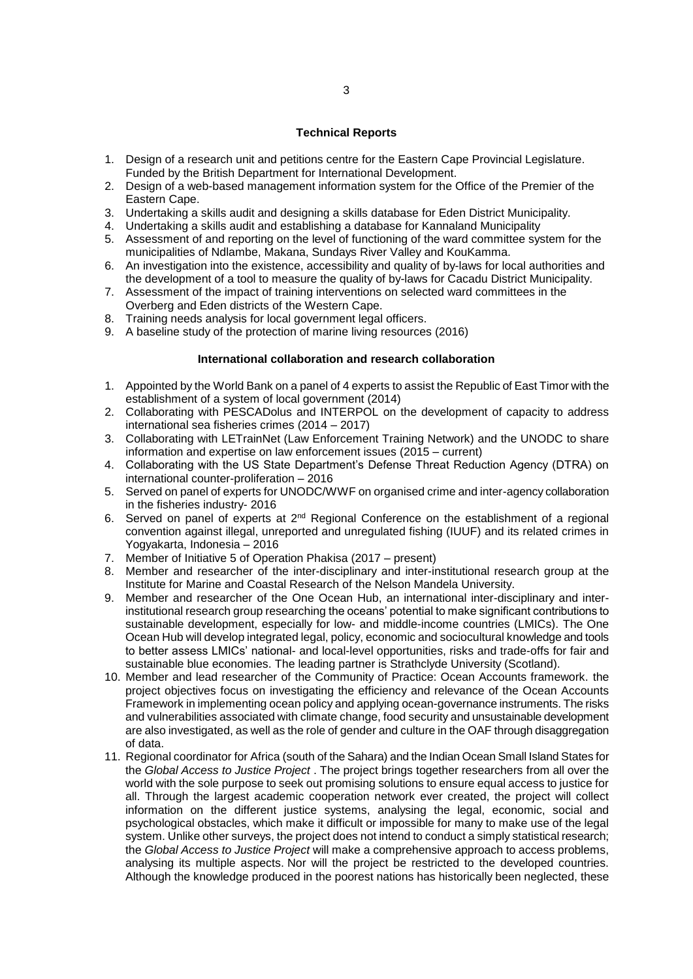#### **Technical Reports**

- 1. Design of a research unit and petitions centre for the Eastern Cape Provincial Legislature. Funded by the British Department for International Development.
- 2. Design of a web-based management information system for the Office of the Premier of the Eastern Cape.
- 3. Undertaking a skills audit and designing a skills database for Eden District Municipality.
- 4. Undertaking a skills audit and establishing a database for Kannaland Municipality
- 5. Assessment of and reporting on the level of functioning of the ward committee system for the municipalities of Ndlambe, Makana, Sundays River Valley and KouKamma.
- 6. An investigation into the existence, accessibility and quality of by-laws for local authorities and the development of a tool to measure the quality of by-laws for Cacadu District Municipality.
- 7. Assessment of the impact of training interventions on selected ward committees in the Overberg and Eden districts of the Western Cape.
- 8. Training needs analysis for local government legal officers.
- 9. A baseline study of the protection of marine living resources (2016)

#### **International collaboration and research collaboration**

- 1. Appointed by the World Bank on a panel of 4 experts to assist the Republic of East Timor with the establishment of a system of local government (2014)
- 2. Collaborating with PESCADolus and INTERPOL on the development of capacity to address international sea fisheries crimes (2014 – 2017)
- 3. Collaborating with LETrainNet (Law Enforcement Training Network) and the UNODC to share information and expertise on law enforcement issues (2015 – current)
- 4. Collaborating with the US State Department's Defense Threat Reduction Agency (DTRA) on international counter-proliferation – 2016
- 5. Served on panel of experts for UNODC/WWF on organised crime and inter-agency collaboration in the fisheries industry- 2016
- 6. Served on panel of experts at 2nd Regional Conference on the establishment of a regional convention against illegal, unreported and unregulated fishing (IUUF) and its related crimes in Yogyakarta, Indonesia – 2016
- 7. Member of Initiative 5 of Operation Phakisa (2017 present)
- 8. Member and researcher of the inter-disciplinary and inter-institutional research group at the Institute for Marine and Coastal Research of the Nelson Mandela University.
- 9. Member and researcher of the One Ocean Hub, an international inter-disciplinary and interinstitutional research group researching the oceans' potential to make significant contributions to sustainable development, especially for low- and middle-income countries (LMICs). The One Ocean Hub will develop integrated legal, policy, economic and sociocultural knowledge and tools to better assess LMICs' national- and local-level opportunities, risks and trade-offs for fair and sustainable blue economies. The leading partner is Strathclyde University (Scotland).
- 10. Member and lead researcher of the Community of Practice: Ocean Accounts framework. the project objectives focus on investigating the efficiency and relevance of the Ocean Accounts Framework in implementing ocean policy and applying ocean-governance instruments. The risks and vulnerabilities associated with climate change, food security and unsustainable development are also investigated, as well as the role of gender and culture in the OAF through disaggregation of data.
- 11. Regional coordinator for Africa (south of the Sahara) and the Indian Ocean Small Island States for the *Global Access to Justice Project* . The project brings together researchers from all over the world with the sole purpose to seek out promising solutions to ensure equal access to justice for all. Through the largest academic cooperation network ever created, the project will collect information on the different justice systems, analysing the legal, economic, social and psychological obstacles, which make it difficult or impossible for many to make use of the legal system. Unlike other surveys, the project does not intend to conduct a simply statistical research; the *Global Access to Justice Project* will make a comprehensive approach to access problems, analysing its multiple aspects. Nor will the project be restricted to the developed countries. Although the knowledge produced in the poorest nations has historically been neglected, these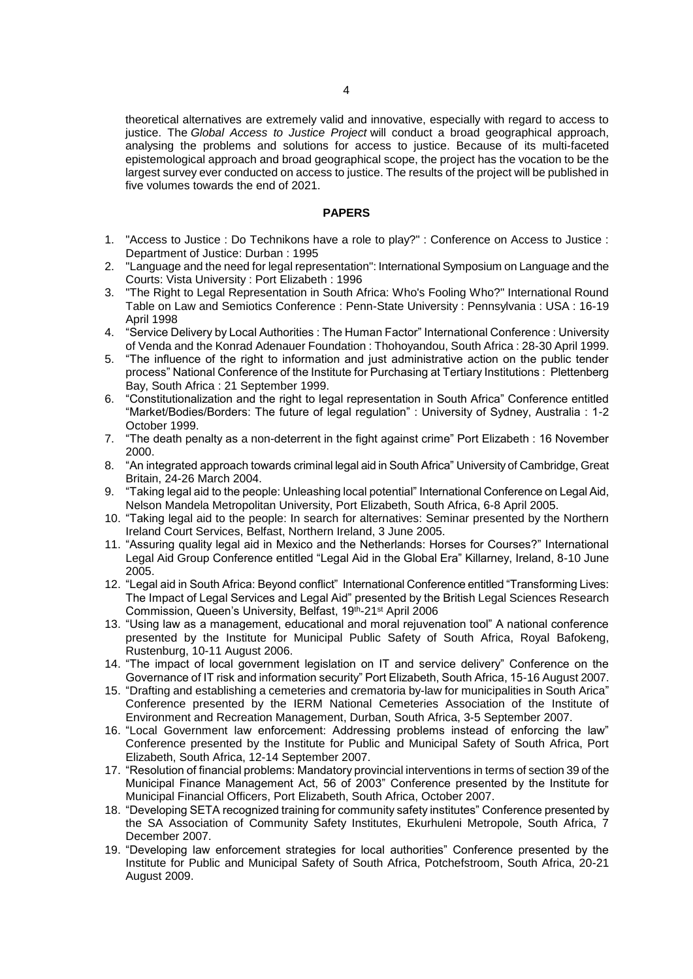theoretical alternatives are extremely valid and innovative, especially with regard to access to justice. The *Global Access to Justice Project* will conduct a broad geographical approach, analysing the problems and solutions for access to justice. Because of its multi-faceted epistemological approach and broad geographical scope, the project has the vocation to be the largest survey ever conducted on access to justice. The results of the project will be published in five volumes towards the end of 2021.

### **PAPERS**

- 1. "Access to Justice : Do Technikons have a role to play?" : Conference on Access to Justice : Department of Justice: Durban : 1995
- 2. "Language and the need for legal representation": International Symposium on Language and the Courts: Vista University : Port Elizabeth : 1996
- 3. "The Right to Legal Representation in South Africa: Who's Fooling Who?" International Round Table on Law and Semiotics Conference : Penn-State University : Pennsylvania : USA : 16-19 April 1998
- 4. "Service Delivery by Local Authorities : The Human Factor" International Conference : University of Venda and the Konrad Adenauer Foundation : Thohoyandou, South Africa : 28-30 April 1999.
- 5. "The influence of the right to information and just administrative action on the public tender process" National Conference of the Institute for Purchasing at Tertiary Institutions : Plettenberg Bay, South Africa : 21 September 1999.
- 6. "Constitutionalization and the right to legal representation in South Africa" Conference entitled "Market/Bodies/Borders: The future of legal regulation" : University of Sydney, Australia : 1-2 October 1999.
- 7. "The death penalty as a non-deterrent in the fight against crime" Port Elizabeth : 16 November 2000.
- 8. "An integrated approach towards criminal legal aid in South Africa" University of Cambridge, Great Britain, 24-26 March 2004.
- 9. "Taking legal aid to the people: Unleashing local potential" International Conference on Legal Aid, Nelson Mandela Metropolitan University, Port Elizabeth, South Africa, 6-8 April 2005.
- 10. "Taking legal aid to the people: In search for alternatives: Seminar presented by the Northern Ireland Court Services, Belfast, Northern Ireland, 3 June 2005.
- 11. "Assuring quality legal aid in Mexico and the Netherlands: Horses for Courses?" International Legal Aid Group Conference entitled "Legal Aid in the Global Era" Killarney, Ireland, 8-10 June 2005.
- 12. "Legal aid in South Africa: Beyond conflict" International Conference entitled "Transforming Lives: The Impact of Legal Services and Legal Aid" presented by the British Legal Sciences Research Commission, Queen's University, Belfast, 19th-21<sup>st</sup> April 2006
- 13. "Using law as a management, educational and moral rejuvenation tool" A national conference presented by the Institute for Municipal Public Safety of South Africa, Royal Bafokeng, Rustenburg, 10-11 August 2006.
- 14. "The impact of local government legislation on IT and service delivery" Conference on the Governance of IT risk and information security" Port Elizabeth, South Africa, 15-16 August 2007.
- 15. "Drafting and establishing a cemeteries and crematoria by-law for municipalities in South Arica" Conference presented by the IERM National Cemeteries Association of the Institute of Environment and Recreation Management, Durban, South Africa, 3-5 September 2007.
- 16. "Local Government law enforcement: Addressing problems instead of enforcing the law" Conference presented by the Institute for Public and Municipal Safety of South Africa, Port Elizabeth, South Africa, 12-14 September 2007.
- 17. "Resolution of financial problems: Mandatory provincial interventions in terms of section 39 of the Municipal Finance Management Act, 56 of 2003" Conference presented by the Institute for Municipal Financial Officers, Port Elizabeth, South Africa, October 2007.
- 18. "Developing SETA recognized training for community safety institutes" Conference presented by the SA Association of Community Safety Institutes, Ekurhuleni Metropole, South Africa, 7 December 2007.
- 19. "Developing law enforcement strategies for local authorities" Conference presented by the Institute for Public and Municipal Safety of South Africa, Potchefstroom, South Africa, 20-21 August 2009.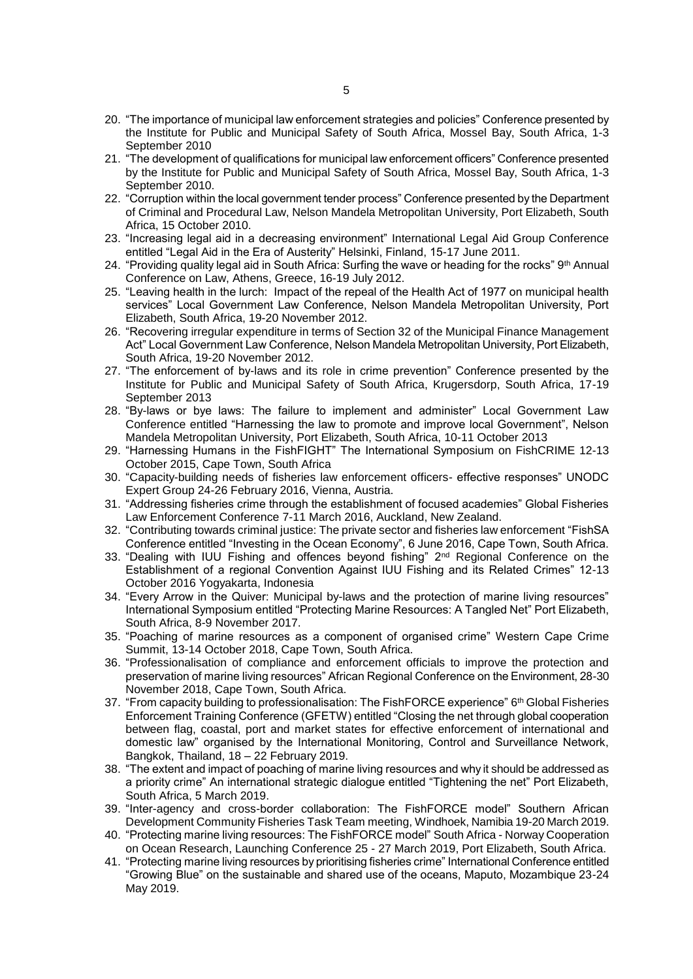- 20. "The importance of municipal law enforcement strategies and policies" Conference presented by the Institute for Public and Municipal Safety of South Africa, Mossel Bay, South Africa, 1-3 September 2010
- 21. "The development of qualifications for municipal law enforcement officers" Conference presented by the Institute for Public and Municipal Safety of South Africa, Mossel Bay, South Africa, 1-3 September 2010.
- 22. "Corruption within the local government tender process" Conference presented by the Department of Criminal and Procedural Law, Nelson Mandela Metropolitan University, Port Elizabeth, South Africa, 15 October 2010.
- 23. "Increasing legal aid in a decreasing environment" International Legal Aid Group Conference entitled "Legal Aid in the Era of Austerity" Helsinki, Finland, 15-17 June 2011.
- 24. "Providing quality legal aid in South Africa: Surfing the wave or heading for the rocks" 9th Annual Conference on Law, Athens, Greece, 16-19 July 2012.
- 25. "Leaving health in the lurch: Impact of the repeal of the Health Act of 1977 on municipal health services" Local Government Law Conference, Nelson Mandela Metropolitan University, Port Elizabeth, South Africa, 19-20 November 2012.
- 26. "Recovering irregular expenditure in terms of Section 32 of the Municipal Finance Management Act" Local Government Law Conference, Nelson Mandela Metropolitan University, Port Elizabeth, South Africa, 19-20 November 2012.
- 27. "The enforcement of by-laws and its role in crime prevention" Conference presented by the Institute for Public and Municipal Safety of South Africa, Krugersdorp, South Africa, 17-19 September 2013
- 28. "By-laws or bye laws: The failure to implement and administer" Local Government Law Conference entitled "Harnessing the law to promote and improve local Government", Nelson Mandela Metropolitan University, Port Elizabeth, South Africa, 10-11 October 2013
- 29. "Harnessing Humans in the FishFIGHT" The International Symposium on FishCRIME 12-13 October 2015, Cape Town, South Africa
- 30. "Capacity-building needs of fisheries law enforcement officers- effective responses" UNODC Expert Group 24-26 February 2016, Vienna, Austria.
- 31. "Addressing fisheries crime through the establishment of focused academies" Global Fisheries Law Enforcement Conference 7-11 March 2016, Auckland, New Zealand.
- 32. "Contributing towards criminal justice: The private sector and fisheries law enforcement "FishSA Conference entitled "Investing in the Ocean Economy", 6 June 2016, Cape Town, South Africa.
- 33. "Dealing with IUU Fishing and offences beyond fishing" 2<sup>nd</sup> Regional Conference on the Establishment of a regional Convention Against IUU Fishing and its Related Crimes" 12-13 October 2016 Yogyakarta, Indonesia
- 34. "Every Arrow in the Quiver: Municipal by-laws and the protection of marine living resources" International Symposium entitled "Protecting Marine Resources: A Tangled Net" Port Elizabeth, South Africa, 8-9 November 2017.
- 35. "Poaching of marine resources as a component of organised crime" Western Cape Crime Summit, 13-14 October 2018, Cape Town, South Africa.
- 36. "Professionalisation of compliance and enforcement officials to improve the protection and preservation of marine living resources" African Regional Conference on the Environment, 28-30 November 2018, Cape Town, South Africa.
- 37. "From capacity building to professionalisation: The FishFORCE experience" 6<sup>th</sup> Global Fisheries Enforcement Training Conference (GFETW) entitled "Closing the net through global cooperation between flag, coastal, port and market states for effective enforcement of international and domestic law" organised by the International Monitoring, Control and Surveillance Network, Bangkok, Thailand, 18 – 22 February 2019.
- 38. "The extent and impact of poaching of marine living resources and why it should be addressed as a priority crime" An international strategic dialogue entitled "Tightening the net" Port Elizabeth, South Africa, 5 March 2019.
- 39. "Inter-agency and cross-border collaboration: The FishFORCE model" Southern African Development Community Fisheries Task Team meeting, Windhoek, Namibia 19-20 March 2019.
- 40. "Protecting marine living resources: The FishFORCE model" South Africa Norway Cooperation on Ocean Research, Launching Conference 25 - 27 March 2019, Port Elizabeth, South Africa.
- 41. "Protecting marine living resources by prioritising fisheries crime" International Conference entitled "Growing Blue" on the sustainable and shared use of the oceans, Maputo, Mozambique 23-24 May 2019.